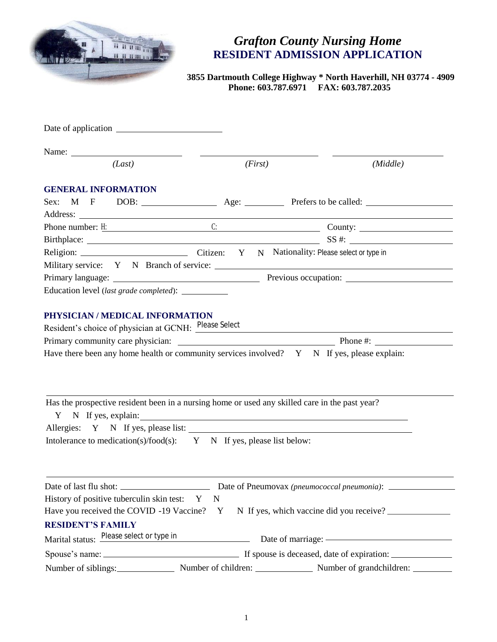

# *Grafton County Nursing Home* **RESIDENT ADMISSION APPLICATION**

**3855 Dartmouth College Highway \* North Haverhill, NH 03774 - 4909 Phone: 603.787.6971 FAX: 603.787.2035**

|                          | (Last)                                                                                    | (First)                                                                                                                                                                                                                        |  | (Middle)                                                                                                                                                                                                                             |  |  |  |  |
|--------------------------|-------------------------------------------------------------------------------------------|--------------------------------------------------------------------------------------------------------------------------------------------------------------------------------------------------------------------------------|--|--------------------------------------------------------------------------------------------------------------------------------------------------------------------------------------------------------------------------------------|--|--|--|--|
|                          | <b>GENERAL INFORMATION</b>                                                                |                                                                                                                                                                                                                                |  |                                                                                                                                                                                                                                      |  |  |  |  |
|                          |                                                                                           |                                                                                                                                                                                                                                |  |                                                                                                                                                                                                                                      |  |  |  |  |
|                          |                                                                                           |                                                                                                                                                                                                                                |  |                                                                                                                                                                                                                                      |  |  |  |  |
|                          |                                                                                           |                                                                                                                                                                                                                                |  |                                                                                                                                                                                                                                      |  |  |  |  |
|                          |                                                                                           |                                                                                                                                                                                                                                |  |                                                                                                                                                                                                                                      |  |  |  |  |
|                          |                                                                                           |                                                                                                                                                                                                                                |  |                                                                                                                                                                                                                                      |  |  |  |  |
|                          |                                                                                           |                                                                                                                                                                                                                                |  |                                                                                                                                                                                                                                      |  |  |  |  |
|                          | Education level (last grade completed): _________                                         |                                                                                                                                                                                                                                |  |                                                                                                                                                                                                                                      |  |  |  |  |
|                          |                                                                                           | Have there been any home health or community services involved? $Y \times N$ If yes, please explain:<br>Has the prospective resident been in a nursing home or used any skilled care in the past year?                         |  |                                                                                                                                                                                                                                      |  |  |  |  |
|                          |                                                                                           | Y N If yes, explain: 1000 and 1000 and 1000 and 1000 and 1000 and 1000 and 1000 and 1000 and 1000 and 1000 and 1000 and 1000 and 1000 and 1000 and 1000 and 1000 and 1000 and 1000 and 1000 and 1000 and 1000 and 1000 and 100 |  |                                                                                                                                                                                                                                      |  |  |  |  |
|                          |                                                                                           | Intolerance to medication(s)/food(s): $Y \times N$ If yes, please list below:                                                                                                                                                  |  |                                                                                                                                                                                                                                      |  |  |  |  |
|                          |                                                                                           |                                                                                                                                                                                                                                |  |                                                                                                                                                                                                                                      |  |  |  |  |
|                          | History of positive tuberculin skin test: Y<br>Have you received the COVID -19 Vaccine? Y | $\mathbf N$                                                                                                                                                                                                                    |  | N If yes, which vaccine did you receive?                                                                                                                                                                                             |  |  |  |  |
| <b>RESIDENT'S FAMILY</b> | Marital status: Please select or type in                                                  |                                                                                                                                                                                                                                |  | Date of marriage: <u>and the same of the same of the same of the same of the same of the same of the same of the same of the same of the same of the same of the same of the same of the same of the same of the same of the sam</u> |  |  |  |  |
|                          |                                                                                           |                                                                                                                                                                                                                                |  |                                                                                                                                                                                                                                      |  |  |  |  |
|                          |                                                                                           |                                                                                                                                                                                                                                |  | Number of siblings: Number of children: Number of grandchildren: Number of grandchildren:                                                                                                                                            |  |  |  |  |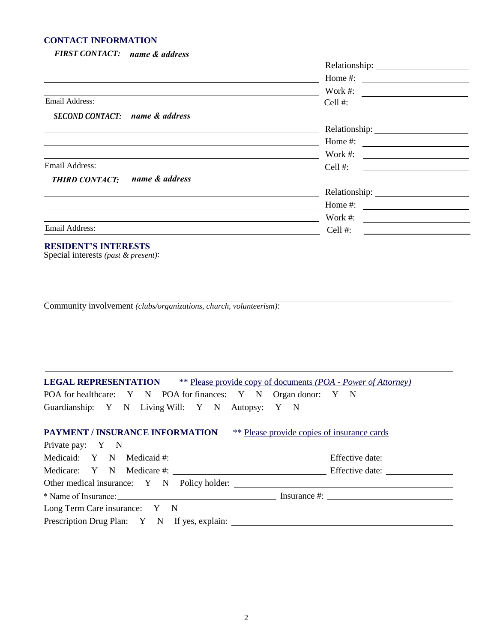### **CONTACT INFORMATION**

*FIRST CONTACT: name & address*

|                                          | Home #:       |
|------------------------------------------|---------------|
|                                          | Work #:       |
| Email Address:                           | Cell#:        |
| <b>SECOND CONTACT:</b><br>name & address |               |
|                                          |               |
|                                          | Home #:       |
|                                          | Work #:       |
| Email Address:                           | Cell $#$ :    |
| name & address<br><b>THIRD CONTACT:</b>  |               |
|                                          | Relationship: |
|                                          | Home #:       |
|                                          | Work #:       |
| <b>Email Address:</b>                    | Cell #:       |

#### **RESIDENT'S INTERESTS**

Special interests *(past & present)*:

Community involvement *(clubs/organizations, church, volunteerism)*:

**LEGAL REPRESENTATION** \*\* Please provide copy of documents *(POA - Power of Attorney)* POA for healthcare: Y N POA for finances: Y N Organ donor: Y N Guardianship: Y N Living Will: Y N Autopsy: Y N

| ** Please provide copies of insurance cards  |  |
|----------------------------------------------|--|
|                                              |  |
|                                              |  |
|                                              |  |
| Other medical insurance: Y N Policy holder:  |  |
| * Name of Insurance: Insurance #:            |  |
|                                              |  |
| Prescription Drug Plan: Y N If yes, explain: |  |
|                                              |  |